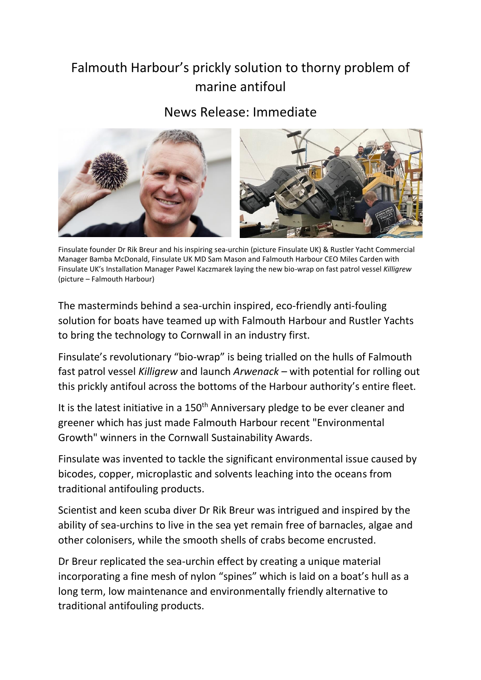## Falmouth Harbour's prickly solution to thorny problem of marine antifoul

## News Release: Immediate



Finsulate founder Dr Rik Breur and his inspiring sea-urchin (picture Finsulate UK) & Rustler Yacht Commercial Manager Bamba McDonald, Finsulate UK MD Sam Mason and Falmouth Harbour CEO Miles Carden with Finsulate UK's Installation Manager Pawel Kaczmarek laying the new bio-wrap on fast patrol vessel *Killigrew* (picture – Falmouth Harbour)

The masterminds behind a sea-urchin inspired, eco-friendly anti-fouling solution for boats have teamed up with Falmouth Harbour and Rustler Yachts to bring the technology to Cornwall in an industry first.

Finsulate's revolutionary "bio-wrap" is being trialled on the hulls of Falmouth fast patrol vessel *Killigrew* and launch *Arwenack* – with potential for rolling out this prickly antifoul across the bottoms of the Harbour authority's entire fleet.

It is the latest initiative in a 150<sup>th</sup> Anniversary pledge to be ever cleaner and greener which has just made Falmouth Harbour recent "Environmental Growth" winners in the Cornwall Sustainability Awards.

Finsulate was invented to tackle the significant environmental issue caused by bicodes, copper, microplastic and solvents leaching into the oceans from traditional antifouling products.

Scientist and keen scuba diver Dr Rik Breur was intrigued and inspired by the ability of sea-urchins to live in the sea yet remain free of barnacles, algae and other colonisers, while the smooth shells of crabs become encrusted.

Dr Breur replicated the sea-urchin effect by creating a unique material incorporating a fine mesh of nylon "spines" which is laid on a boat's hull as a long term, low maintenance and environmentally friendly alternative to traditional antifouling products.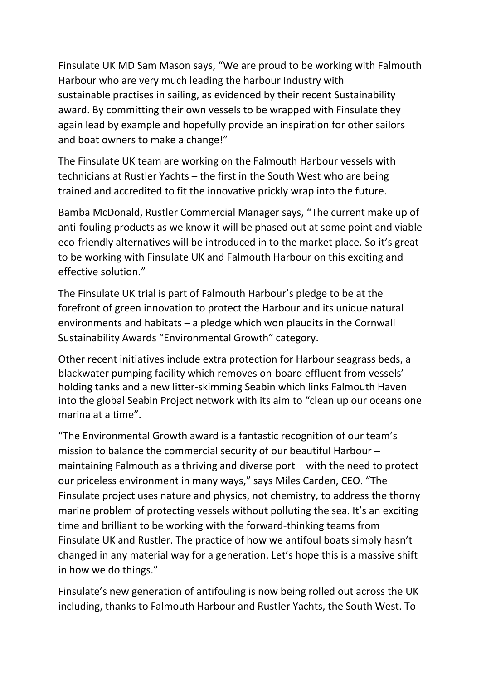Finsulate UK MD Sam Mason says, "We are proud to be working with Falmouth Harbour who are very much leading the harbour Industry with sustainable practises in sailing, as evidenced by their recent Sustainability award. By committing their own vessels to be wrapped with Finsulate they again lead by example and hopefully provide an inspiration for other sailors and boat owners to make a change!"

The Finsulate UK team are working on the Falmouth Harbour vessels with technicians at Rustler Yachts – the first in the South West who are being trained and accredited to fit the innovative prickly wrap into the future.

Bamba McDonald, Rustler Commercial Manager says, "The current make up of anti-fouling products as we know it will be phased out at some point and viable eco-friendly alternatives will be introduced in to the market place. So it's great to be working with Finsulate UK and Falmouth Harbour on this exciting and effective solution."

The Finsulate UK trial is part of Falmouth Harbour's pledge to be at the forefront of green innovation to protect the Harbour and its unique natural environments and habitats – a pledge which won plaudits in the Cornwall Sustainability Awards "Environmental Growth" category.

Other recent initiatives include extra protection for Harbour seagrass beds, a blackwater pumping facility which removes on-board effluent from vessels' holding tanks and a new litter-skimming Seabin which links Falmouth Haven into the global Seabin Project network with its aim to "clean up our oceans one marina at a time".

"The Environmental Growth award is a fantastic recognition of our team's mission to balance the commercial security of our beautiful Harbour – maintaining Falmouth as a thriving and diverse port – with the need to protect our priceless environment in many ways," says Miles Carden, CEO. "The Finsulate project uses nature and physics, not chemistry, to address the thorny marine problem of protecting vessels without polluting the sea. It's an exciting time and brilliant to be working with the forward-thinking teams from Finsulate UK and Rustler. The practice of how we antifoul boats simply hasn't changed in any material way for a generation. Let's hope this is a massive shift in how we do things."

Finsulate's new generation of antifouling is now being rolled out across the UK including, thanks to Falmouth Harbour and Rustler Yachts, the South West. To